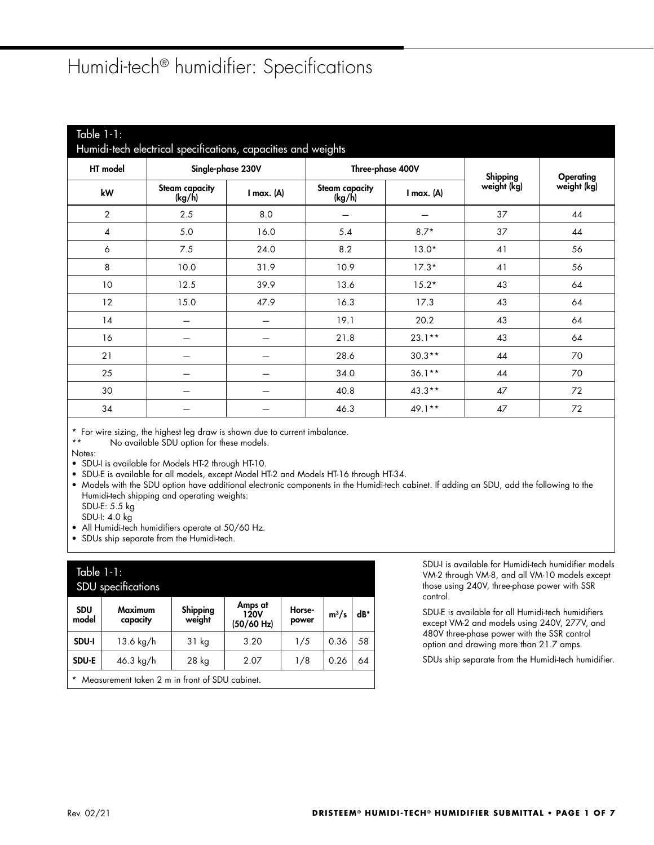## Humidi-tech® humidifier: Specifications

| Table $1 - 1$ :<br>Humidi-tech electrical specifications, capacities and weights |                                 |                   |                          |                  |             |             |  |  |  |  |
|----------------------------------------------------------------------------------|---------------------------------|-------------------|--------------------------|------------------|-------------|-------------|--|--|--|--|
| HT model                                                                         |                                 | Single-phase 230V |                          | Three-phase 400V | Shipping    | Operating   |  |  |  |  |
| kW                                                                               | <b>Steam capacity</b><br>(kg/h) | $I$ max. $(A)$    | Steam capacity<br>(kg/h) | $I$ max. $(A)$   | weight (kg) | weight (kg) |  |  |  |  |
| $\overline{2}$                                                                   | 2.5                             | 8.0               |                          |                  | 37          | 44          |  |  |  |  |
| 4                                                                                | 5.0                             | 16.0              | 5.4                      | $8.7*$           | 37          | 44          |  |  |  |  |
| 6                                                                                | 7.5                             | 24.0              | 8.2                      | $13.0*$          | 41          | 56          |  |  |  |  |
| 8                                                                                | 10.0                            | 31.9              | 10.9                     | $17.3*$          | 41          | 56          |  |  |  |  |
| 10 <sup>°</sup>                                                                  | 12.5                            | 39.9              | 13.6                     | $15.2*$          | 43          | 64          |  |  |  |  |
| 12                                                                               | 15.0                            | 47.9              | 16.3                     | 17.3             | 43          | 64          |  |  |  |  |
| 14                                                                               |                                 |                   | 19.1                     | 20.2             | 43          | 64          |  |  |  |  |
| 16                                                                               |                                 |                   | 21.8                     | $23.1**$         | 43          | 64          |  |  |  |  |
| 21                                                                               |                                 |                   | 28.6                     | $30.3**$         | 44          | 70          |  |  |  |  |
| 25                                                                               |                                 |                   | 34.0                     | $36.1**$         | 44          | 70          |  |  |  |  |
| 30                                                                               |                                 |                   | 40.8                     | $43.3**$         | 47          | 72          |  |  |  |  |
| 34                                                                               |                                 |                   | 46.3                     | $49.1**$         | 47          | 72          |  |  |  |  |

\* For wire sizing, the highest leg draw is shown due to current imbalance.<br>\*\* No quailable SDU option for these models

No available SDU option for these models.

Notes:

- SDU-I is available for Models HT-2 through HT-10.
- SDU-E is available for all models, except Model HT-2 and Models HT-16 through HT-34.
- Models with the SDU option have additional electronic components in the Humidi-tech cabinet. If adding an SDU, add the following to the Humidi-tech shipping and operating weights:
	- SDU-E: 5.5 kg
	- SDU-I: 4.0 kg
- All Humidi-tech humidifiers operate at 50/60 Hz.

• SDUs ship separate from the Humidi-tech.

| Table $1-1$ :<br>SDU specifications            |                     |                    |                               |                 |         |       |  |  |  |
|------------------------------------------------|---------------------|--------------------|-------------------------------|-----------------|---------|-------|--|--|--|
| <b>SDU</b><br>model                            | Maximum<br>capacity | Shipping<br>weight | Amps at<br>120V<br>(50/60 Hz) | Horse-<br>power | $m^3/s$ | $dB*$ |  |  |  |
| SDU-I                                          | $13.6 \text{ kg/h}$ | 31 kg              | 3.20                          | 1/5             | 0.36    | 58    |  |  |  |
| SDU-E                                          | $46.3 \text{ kg/h}$ | 28 kg              | 2.07                          | 1/8             | 0.26    | 64    |  |  |  |
| Measurement taken 2 m in front of SDU cabinet. |                     |                    |                               |                 |         |       |  |  |  |

SDU-I is available for Humidi-tech humidifier models VM-2 through VM-8, and all VM-10 models except those using 240V, three-phase power with SSR control.

SDU-E is available for all Humidi-tech humidifiers except VM-2 and models using 240V, 277V, and 480V three-phase power with the SSR control option and drawing more than 21.7 amps.

SDUs ship separate from the Humidi-tech humidifier.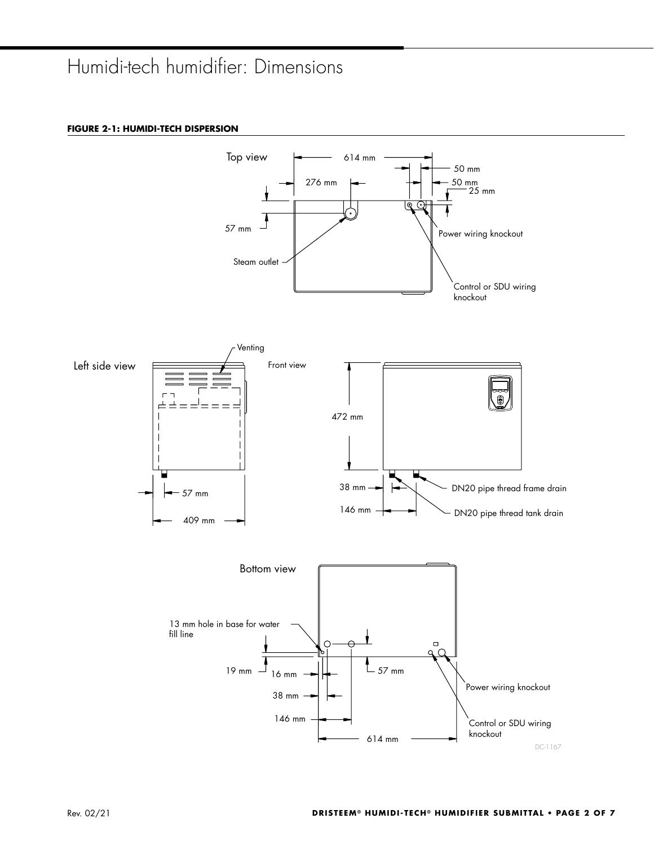# Humidi-tech humidifier: Dimensions

### **FIGURE 2-1: HUMIDI-TECH DISPERSION**

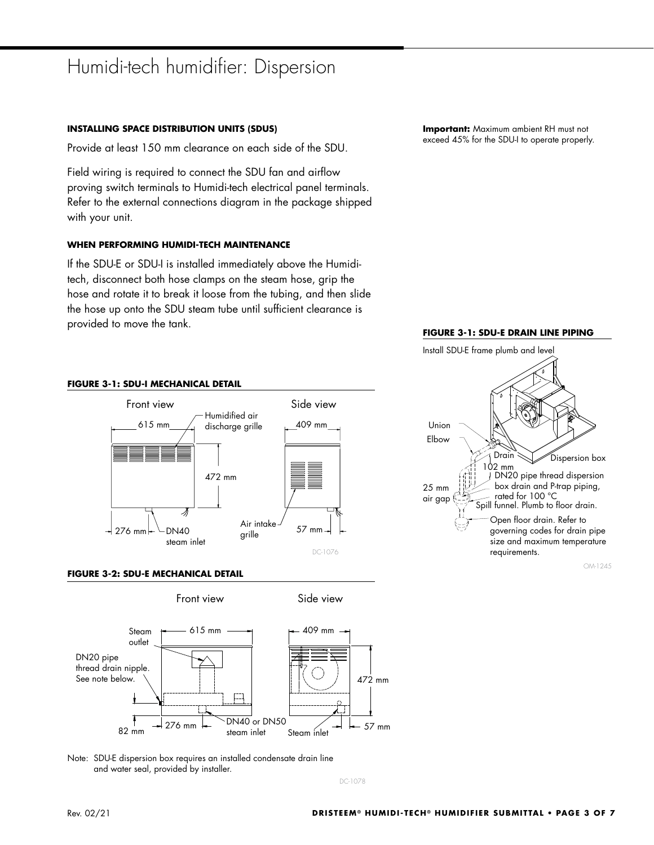### Humidi-tech humidifier: Dispersion

### **INSTALLING SPACE DISTRIBUTION UNITS (SDUS)**

Provide at least 150 mm clearance on each side of the SDU.

Field wiring is required to connect the SDU fan and airflow proving switch terminals to Humidi-tech electrical panel terminals. Refer to the external connections diagram in the package shipped with your unit.

### **WHEN PERFORMING HUMIDI-TECH MAINTENANCE**

If the SDU-E or SDU-I is installed immediately above the Humiditech, disconnect both hose clamps on the steam hose, grip the hose and rotate it to break it loose from the tubing, and then slide the hose up onto the SDU steam tube until sufficient clearance is provided to move the tank.

**Important:** Maximum ambient RH must not exceed 45% for the SDU-I to operate properly.

#### **FIGURE 3-1: SDU-E DRAIN LINE PIPING**

Install SDU-E frame plumb and level



Union Elbow 25 mm air gap Dispersion box DN20 pipe thread dispersion box drain and P-trap piping, rated for 100 °C Spill funnel. Plumb to floor drain. Open floor drain. Refer to governing codes for drain pipe size and maximum temperature requirements. OM-1245 Drain 102 mm







Note: SDU-E dispersion box requires an installed condensate drain line and water seal, provided by installer.

DC-1078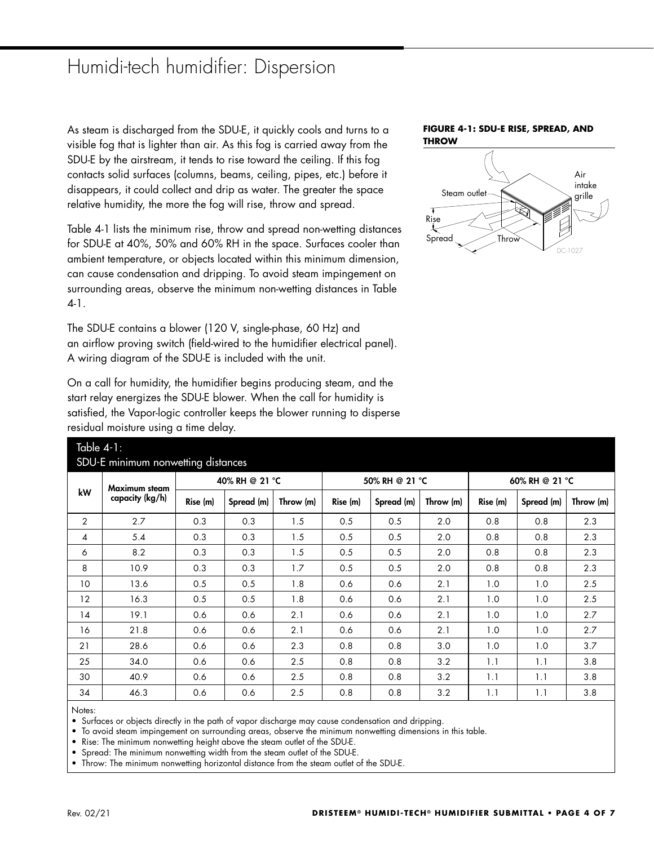### Humidi-tech humidifier: Dispersion

As steam is discharged from the SDU-E, it quickly cools and turns to a visible fog that is lighter than air. As this fog is carried away from the SDU-E by the airstream, it tends to rise toward the ceiling. If this fog contacts solid surfaces (columns, beams, ceiling, pipes, etc.) before it disappears, it could collect and drip as water. The greater the space relative humidity, the more the fog will rise, throw and spread.

Table 4-1 lists the minimum rise, throw and spread non-wetting distances for SDU-E at 40%, 50% and 60% RH in the space. Surfaces cooler than ambient temperature, or objects located within this minimum dimension, can cause condensation and dripping. To avoid steam impingement on surrounding areas, observe the minimum non-wetting distances in Table 4-1.

The SDU-E contains a blower (120 V, single-phase, 60 Hz) and an airflow proving switch (field-wired to the humidifier electrical panel). A wiring diagram of the SDU-E is included with the unit.

On a call for humidity, the humidifier begins producing steam, and the start relay energizes the SDU-E blower. When the call for humidity is satisfied, the Vapor-logic controller keeps the blower running to disperse residual moisture using a time delay.





| Table $4-1$ :<br>SDU-E minimum nonwetting distances |                                  |          |                |           |          |                |           |                |            |           |  |
|-----------------------------------------------------|----------------------------------|----------|----------------|-----------|----------|----------------|-----------|----------------|------------|-----------|--|
| kW                                                  | Maximum steam<br>capacity (kg/h) |          | 40% RH @ 21 °C |           |          | 50% RH @ 21 °C |           | 60% RH @ 21 °C |            |           |  |
|                                                     |                                  | Rise (m) | Spread (m)     | Throw (m) | Rise (m) | Spread (m)     | Throw (m) | Rise (m)       | Spread (m) | Throw (m) |  |
| $\overline{2}$                                      | 2.7                              | 0.3      | 0.3            | 1.5       | 0.5      | 0.5            | 2.0       | 0.8            | 0.8        | 2.3       |  |
| 4                                                   | 5.4                              | 0.3      | 0.3            | 1.5       | 0.5      | 0.5            | 2.0       | 0.8            | 0.8        | 2.3       |  |
| 6                                                   | 8.2                              | 0.3      | 0.3            | 1.5       | 0.5      | 0.5            | 2.0       | 0.8            | 0.8        | 2.3       |  |
| 8                                                   | 10.9                             | 0.3      | 0.3            | 1.7       | 0.5      | 0.5            | 2.0       | 0.8            | 0.8        | 2.3       |  |
| 10                                                  | 13.6                             | 0.5      | 0.5            | 1.8       | 0.6      | 0.6            | 2.1       | 1.0            | 1.0        | 2.5       |  |
| 12                                                  | 16.3                             | 0.5      | 0.5            | 1.8       | 0.6      | 0.6            | 2.1       | 1.0            | 1.0        | 2.5       |  |
| 14                                                  | 19.1                             | 0.6      | 0.6            | 2.1       | 0.6      | 0.6            | 2.1       | 1.0            | 1.0        | 2.7       |  |
| 16                                                  | 21.8                             | 0.6      | 0.6            | 2.1       | 0.6      | 0.6            | 2.1       | 1.0            | 1.0        | 2.7       |  |
| 21                                                  | 28.6                             | 0.6      | 0.6            | 2.3       | 0.8      | 0.8            | 3.0       | 1.0            | 1.0        | 3.7       |  |
| 25                                                  | 34.0                             | 0.6      | 0.6            | 2.5       | 0.8      | 0.8            | 3.2       | 1.1            | 1.1        | 3.8       |  |
| 30                                                  | 40.9                             | 0.6      | 0.6            | 2.5       | 0.8      | 0.8            | 3.2       | 1.1            | 1.1        | 3.8       |  |
| 34                                                  | 46.3                             | 0.6      | 0.6            | 2.5       | 0.8      | 0.8            | 3.2       | 1.1            | 1.1        | 3.8       |  |
|                                                     |                                  |          |                |           |          |                |           |                |            |           |  |

Notes:

• Surfaces or objects directly in the path of vapor discharge may cause condensation and dripping.

• To avoid steam impingement on surrounding areas, observe the minimum nonwetting dimensions in this table.

• Rise: The minimum nonwetting height above the steam outlet of the SDU-E.

• Spread: The minimum nonwetting width from the steam outlet of the SDU-E.

• Throw: The minimum nonwetting horizontal distance from the steam outlet of the SDU-E.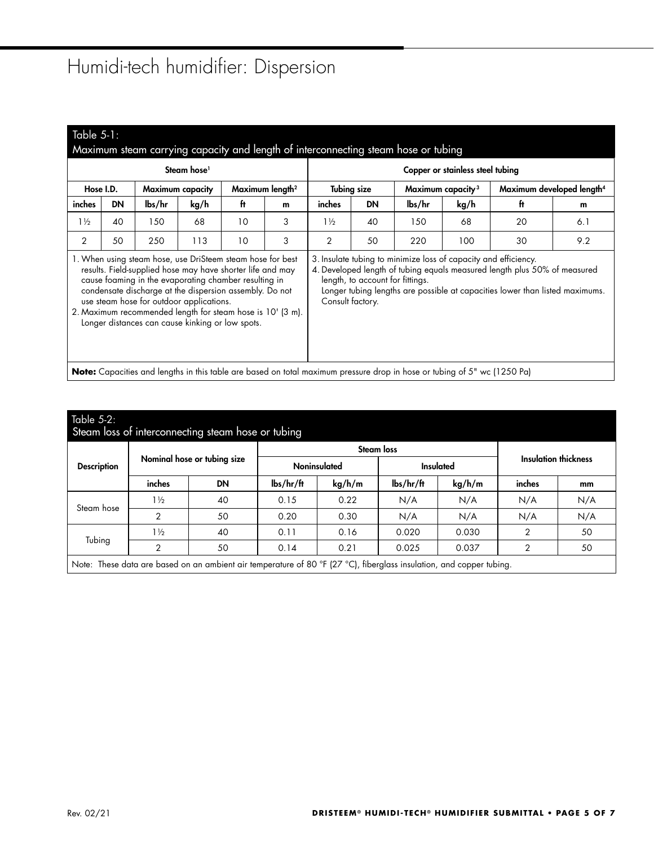# Humidi-tech humidifier: Dispersion

| Table $5-1$ :<br>Maximum steam carrying capacity and length of interconnecting steam hose or tubing                                                                                                                                                                                                                                                                                                        |                                                                                                                                 |        |                         |    |                             |                                                                                                                                                                                                                                                                                      |                                                     |        |      |                                       |     |  |  |
|------------------------------------------------------------------------------------------------------------------------------------------------------------------------------------------------------------------------------------------------------------------------------------------------------------------------------------------------------------------------------------------------------------|---------------------------------------------------------------------------------------------------------------------------------|--------|-------------------------|----|-----------------------------|--------------------------------------------------------------------------------------------------------------------------------------------------------------------------------------------------------------------------------------------------------------------------------------|-----------------------------------------------------|--------|------|---------------------------------------|-----|--|--|
| Steam hose <sup>1</sup>                                                                                                                                                                                                                                                                                                                                                                                    |                                                                                                                                 |        |                         |    |                             |                                                                                                                                                                                                                                                                                      | Copper or stainless steel tubing                    |        |      |                                       |     |  |  |
| Hose I.D.                                                                                                                                                                                                                                                                                                                                                                                                  |                                                                                                                                 |        | <b>Maximum capacity</b> |    | Maximum length <sup>2</sup> |                                                                                                                                                                                                                                                                                      | <b>Tubing size</b><br>Maximum capacity <sup>3</sup> |        |      | Maximum developed length <sup>4</sup> |     |  |  |
| inches                                                                                                                                                                                                                                                                                                                                                                                                     | <b>DN</b>                                                                                                                       | lbs/hr | kg/h                    | ft | m                           | inches                                                                                                                                                                                                                                                                               | <b>DN</b>                                           | lbs/hr | kg/h |                                       | m   |  |  |
| $1\frac{1}{2}$                                                                                                                                                                                                                                                                                                                                                                                             | 40                                                                                                                              | 150    | 68                      | 10 | 3                           | $1\frac{1}{2}$                                                                                                                                                                                                                                                                       | 40                                                  | 150    | 68   | 20                                    | 6.1 |  |  |
| 2                                                                                                                                                                                                                                                                                                                                                                                                          | 50                                                                                                                              | 250    | 113                     | 10 | 3                           | 2                                                                                                                                                                                                                                                                                    | 50                                                  | 220    | 100  | 30                                    | 9.2 |  |  |
| 1. When using steam hose, use DriSteem steam hose for best<br>results. Field-supplied hose may have shorter life and may<br>cause foaming in the evaporating chamber resulting in<br>condensate discharge at the dispersion assembly. Do not<br>use steam hose for outdoor applications.<br>2. Maximum recommended length for steam hose is 10' (3 m).<br>Longer distances can cause kinking or low spots. |                                                                                                                                 |        |                         |    |                             | 3. Insulate tubing to minimize loss of capacity and efficiency.<br>4. Developed length of tubing equals measured length plus 50% of measured<br>length, to account for fittings.<br>Longer tubing lengths are possible at capacities lower than listed maximums.<br>Consult factory. |                                                     |        |      |                                       |     |  |  |
|                                                                                                                                                                                                                                                                                                                                                                                                            | <b>Note:</b> Capacities and lengths in this table are based on total maximum pressure drop in hose or tubing of 5" wc (1250 Pa) |        |                         |    |                             |                                                                                                                                                                                                                                                                                      |                                                     |        |      |                                       |     |  |  |

| Table $5-2$ :<br>Steam loss of interconnecting steam hose or tubing                                                  |                |                             |                         |                   |                                        |        |                             |     |  |  |
|----------------------------------------------------------------------------------------------------------------------|----------------|-----------------------------|-------------------------|-------------------|----------------------------------------|--------|-----------------------------|-----|--|--|
| <b>Description</b>                                                                                                   |                |                             |                         | <b>Steam loss</b> |                                        |        |                             |     |  |  |
|                                                                                                                      |                | Nominal hose or tubing size | Noninsulated            |                   | Insulated                              |        | <b>Insulation thickness</b> |     |  |  |
|                                                                                                                      | inches         | <b>DN</b>                   | $\frac{1}{\frac{1}{2}}$ | kg/h/m            | $\frac{1}{\text{b}}\frac{s}{\text{h}}$ | kg/h/m | inches                      | mm  |  |  |
| Steam hose                                                                                                           | $1\frac{1}{2}$ | 40                          | 0.15                    | 0.22              | N/A                                    | N/A    | N/A                         | N/A |  |  |
|                                                                                                                      | $\overline{2}$ | 50                          | 0.20                    | 0.30              | N/A                                    | N/A    | N/A                         | N/A |  |  |
|                                                                                                                      | $1\frac{1}{2}$ | 40                          | 0.11                    | 0.16              | 0.020                                  | 0.030  | 2                           | 50  |  |  |
| Tubing                                                                                                               | 2              | 50                          | 0.14                    | 0.21              | 0.025                                  | 0.037  | 2                           | 50  |  |  |
| Note: These data are based on an ambient air temperature of 80 °F (27 °C), fiberglass insulation, and copper tubing. |                |                             |                         |                   |                                        |        |                             |     |  |  |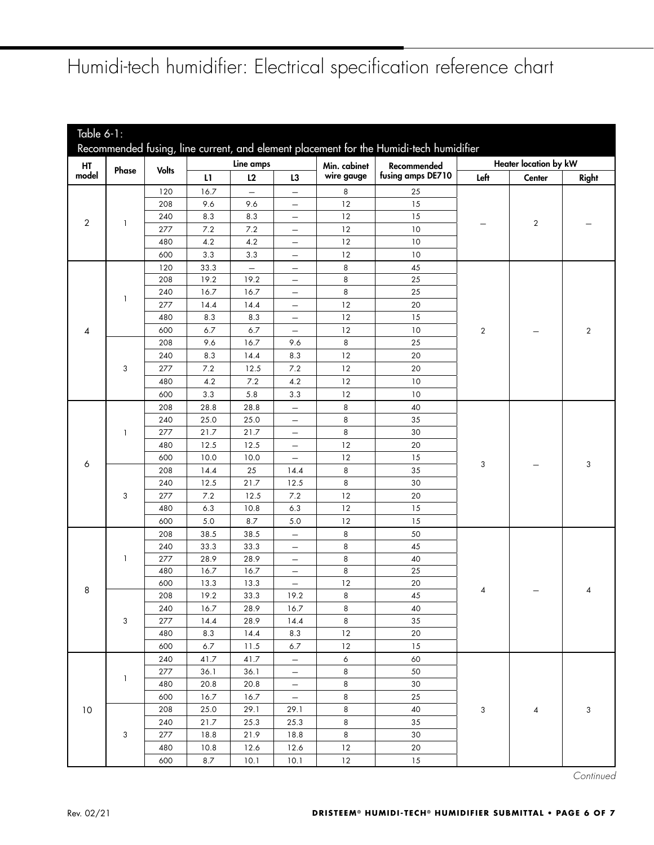# Humidi-tech humidifier: Electrical specification reference chart

<span id="page-5-0"></span>

| Table 6-1: |       |              |              |                          |                                               |                  |                                                                                        |                              |                |                |  |
|------------|-------|--------------|--------------|--------------------------|-----------------------------------------------|------------------|----------------------------------------------------------------------------------------|------------------------------|----------------|----------------|--|
|            |       |              |              |                          |                                               |                  | Recommended fusing, line current, and element placement for the Humidi-tech humidifier |                              |                |                |  |
| HT         |       |              | Line amps    |                          |                                               | Min. cabinet     | Recommended                                                                            | <b>Heater location by kW</b> |                |                |  |
| model      | Phase | <b>Volts</b> | L1           | L2                       | L3                                            | wire gauge       | fusing amps DE710                                                                      | Left                         | Center         | Right          |  |
|            |       | 120          | 16.7         | $\overline{\phantom{0}}$ | $\qquad \qquad -$                             | $\,8\,$          | 25                                                                                     |                              |                |                |  |
|            |       | 208          | 9.6          | 9.6                      |                                               | 12               | 15                                                                                     |                              |                |                |  |
|            |       | 240          | 8.3          | 8.3                      | $\overline{\phantom{0}}$                      | 12               | 15                                                                                     |                              |                |                |  |
| 2          | 1     | 277          | $7.2\,$      | 7.2                      | $\overline{\phantom{0}}$                      | 12               | 10                                                                                     |                              | $\overline{2}$ |                |  |
|            |       | 480          | 4.2          | 4.2                      | $\qquad \qquad -$                             | 12               | 10                                                                                     |                              |                |                |  |
|            |       | 600          | 3.3          | 3.3                      | $\overline{\phantom{0}}$                      | 12               | 10                                                                                     |                              |                |                |  |
|            |       | 120          | 33.3         | $\overline{\phantom{0}}$ | $\overline{\phantom{0}}$                      | $\,8\,$          | 45                                                                                     |                              |                |                |  |
|            |       | 208          | 19.2         | 19.2                     | $\qquad \qquad -$                             | 8                | 25                                                                                     |                              |                |                |  |
|            | 1     | 240          | 16.7         | 16.7                     | $\qquad \qquad -$                             | 8                | 25                                                                                     |                              |                |                |  |
|            |       | 277          | 14.4         | 14.4                     | -                                             | 12               | 20                                                                                     |                              |                |                |  |
|            |       | 480          | 8.3          | 8.3                      | $\overline{\phantom{0}}$                      | 12               | 15                                                                                     |                              |                |                |  |
| 4          |       | 600          | 6.7          | 6.7                      | $\overline{\phantom{0}}$                      | 12               | 10                                                                                     | $\overline{2}$               |                | $\overline{2}$ |  |
|            |       | 208          | 9.6          | 16.7                     | 9.6                                           | 8                | 25                                                                                     |                              |                |                |  |
|            |       | 240          | 8.3          | 14.4                     | 8.3                                           | 12               | 20                                                                                     |                              |                |                |  |
|            | 3     | 277          | 7.2          | 12.5                     | $7.2\,$                                       | 12               | 20                                                                                     |                              |                |                |  |
|            |       | 480          | 4.2          | $7.2\,$                  | 4.2                                           | 12               | 10                                                                                     |                              |                |                |  |
|            |       | 600          | 3.3          | 5.8                      | 3.3                                           | 12               | 10                                                                                     |                              |                |                |  |
|            | 1     | 208          | 28.8         | 28.8                     | $\qquad \qquad -$                             | 8                | 40                                                                                     |                              |                |                |  |
|            |       | 240          | 25.0         | 25.0                     | $\qquad \qquad -$                             | 8                | 35                                                                                     |                              |                |                |  |
|            |       | 277          | 21.7         | 21.7                     | $\overline{\phantom{m}}$                      | 8                | 30                                                                                     |                              |                |                |  |
|            |       | 480          | 12.5         | 12.5                     | $\overline{\phantom{0}}$                      | 12               | 20                                                                                     |                              |                |                |  |
| 6          |       | 600          | 10.0         | 10.0                     | $\overline{\phantom{0}}$                      | 12               | 15                                                                                     | 3                            |                | 3              |  |
|            |       | 208          | 14.4         | 25                       | 14.4                                          | $\,8\,$          | 35                                                                                     |                              |                |                |  |
|            |       | 240          | 12.5         | 21.7                     | 12.5                                          | 8                | 30                                                                                     |                              |                |                |  |
|            | 3     | 277          | $7.2\,$      | 12.5                     | $7.2\,$                                       | 12               | 20                                                                                     |                              |                |                |  |
|            |       | 480          | 6.3          | 10.8                     | 6.3                                           | 12               | 15                                                                                     |                              |                |                |  |
|            |       | 600          | 5.0          | 8.7                      | 5.0                                           | 12               | 15                                                                                     |                              |                |                |  |
|            |       | 208          | 38.5         | 38.5                     | $\overline{\phantom{m}}$                      | 8                | 50                                                                                     |                              |                |                |  |
|            |       | 240          | 33.3         | 33.3                     | $\qquad \qquad -$                             | 8                | 45                                                                                     |                              |                |                |  |
|            | -1    | 277          | 28.9         | 28.9                     | $\qquad \qquad -$                             | 8                | 40                                                                                     |                              |                |                |  |
|            |       | 480<br>600   | 16.7<br>13.3 | 16.7<br>13.3             | $\overline{\phantom{0}}$<br>$\qquad \qquad -$ | 8<br>12          | 25<br>20                                                                               |                              |                |                |  |
| 8          |       | 208          | 19.2         | 33.3                     | 19.2                                          | 8                | 45                                                                                     | 4                            |                | 4              |  |
|            |       | 240          | 16.7         | 28.9                     | 16.7                                          | 8                | 40                                                                                     |                              |                |                |  |
|            | 3     | 277          | 14.4         | 28.9                     | 14.4                                          | 8                | 35                                                                                     |                              |                |                |  |
|            |       | 480          | 8.3          | 14.4                     | 8.3                                           | $12\,$           | 20                                                                                     |                              |                |                |  |
|            |       | 600          | 6.7          | $11.5$                   | 6.7                                           | 12               | 15                                                                                     |                              |                |                |  |
|            |       | 240          | 41.7         | 41.7                     | $\overline{\phantom{0}}$                      | $\boldsymbol{6}$ | 60                                                                                     |                              |                |                |  |
|            |       | 277          | 36.1         | 36.1                     | $\qquad \qquad -$                             | 8                | 50                                                                                     |                              |                |                |  |
|            | 1     | 480          | 20.8         | 20.8                     | $\overline{\phantom{0}}$                      | 8                | 30                                                                                     |                              |                |                |  |
|            |       | 600          | 16.7         | 16.7                     | $\overline{\phantom{0}}$                      | 8                | 25                                                                                     |                              |                |                |  |
| $10$       |       | 208          | 25.0         | 29.1                     | 29.1                                          | 8                | 40                                                                                     | 3                            | 4              | 3              |  |
|            |       | 240          | 21.7         | 25.3                     | 25.3                                          | 8                | 35                                                                                     |                              |                |                |  |
|            | 3     | 277          | 18.8         | 21.9                     | 18.8                                          | 8                | 30                                                                                     |                              |                |                |  |
|            |       | 480          | 10.8         | 12.6                     | 12.6                                          | 12               | 20                                                                                     |                              |                |                |  |
|            |       | 600          | 8.7          | 10.1                     | 10.1                                          | 12               | 15                                                                                     |                              |                |                |  |

**Continued**